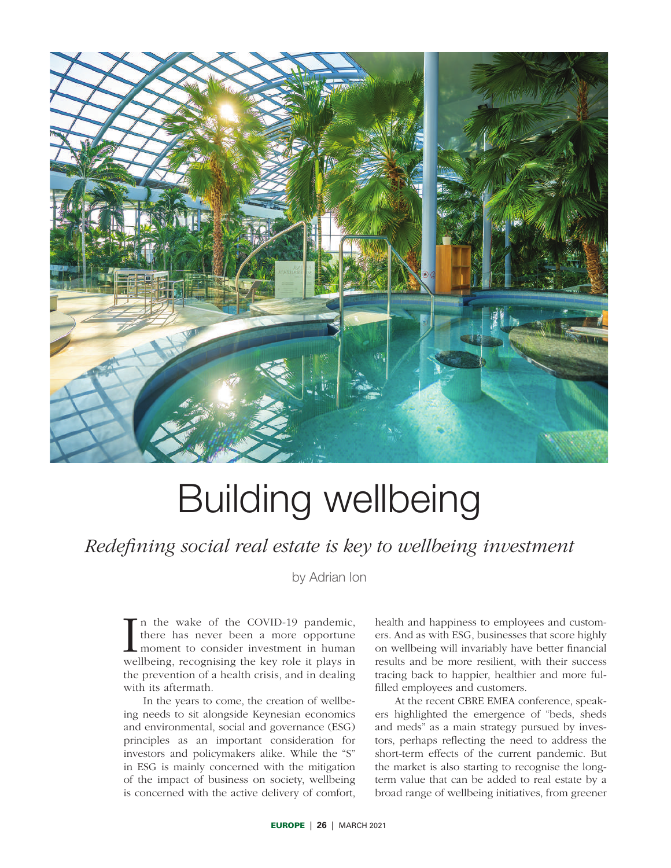

# Building wellbeing

*Redefining social real estate is key to wellbeing investment*

by Adrian Ion

In the wake of the COVID-19 pandemic,<br>there has never been a more opportune<br>moment to consider investment in human<br>wellbeing, recognising the key role it plays in n the wake of the COVID-19 pandemic, there has never been a more opportune moment to consider investment in human the prevention of a health crisis, and in dealing with its aftermath.

In the years to come, the creation of wellbeing needs to sit alongside Keynesian economics and environmental, social and governance (ESG) principles as an important consideration for investors and policymakers alike. While the "S" in ESG is mainly concerned with the mitigation of the impact of business on society, wellbeing is concerned with the active delivery of comfort, health and happiness to employees and customers. And as with ESG, businesses that score highly on wellbeing will invariably have better financial results and be more resilient, with their success tracing back to happier, healthier and more fulfilled employees and customers.

At the recent CBRE EMEA conference, speakers highlighted the emergence of "beds, sheds and meds" as a main strategy pursued by investors, perhaps reflecting the need to address the short-term effects of the current pandemic. But the market is also starting to recognise the longterm value that can be added to real estate by a broad range of wellbeing initiatives, from greener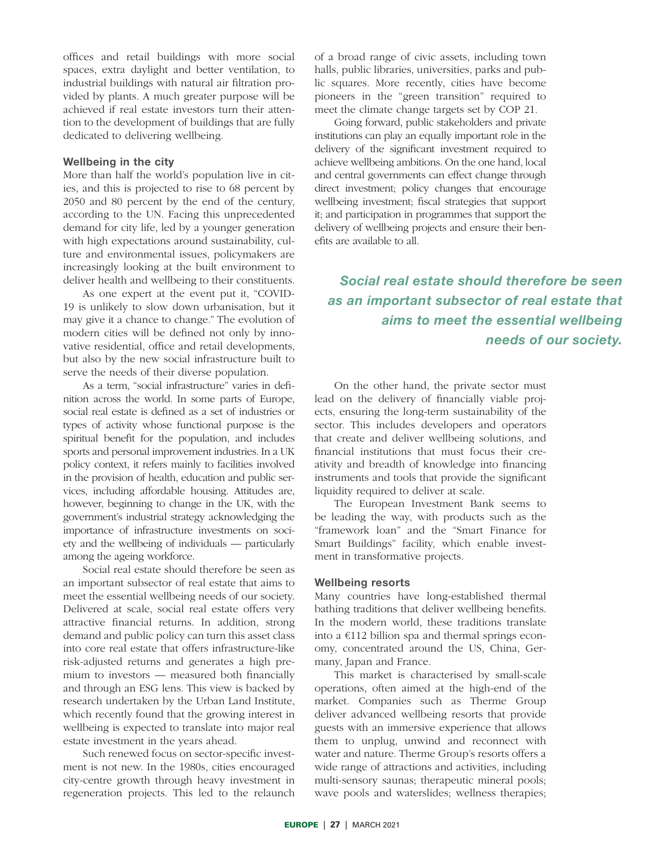offices and retail buildings with more social spaces, extra daylight and better ventilation, to industrial buildings with natural air filtration provided by plants. A much greater purpose will be achieved if real estate investors turn their attention to the development of buildings that are fully dedicated to delivering wellbeing.

#### Wellbeing in the city

More than half the world's population live in cities, and this is projected to rise to 68 percent by 2050 and 80 percent by the end of the century, according to the UN. Facing this unprecedented demand for city life, led by a younger generation with high expectations around sustainability, culture and environmental issues, policymakers are increasingly looking at the built environment to deliver health and wellbeing to their constituents.

As one expert at the event put it, "COVID-19 is unlikely to slow down urbanisation, but it may give it a chance to change." The evolution of modern cities will be defined not only by innovative residential, office and retail developments, but also by the new social infrastructure built to serve the needs of their diverse population.

As a term, "social infrastructure" varies in definition across the world. In some parts of Europe, social real estate is defined as a set of industries or types of activity whose functional purpose is the spiritual benefit for the population, and includes sports and personal improvement industries. In a UK policy context, it refers mainly to facilities involved in the provision of health, education and public services, including affordable housing. Attitudes are, however, beginning to change in the UK, with the government's industrial strategy acknowledging the importance of infrastructure investments on society and the wellbeing of individuals — particularly among the ageing workforce.

Social real estate should therefore be seen as an important subsector of real estate that aims to meet the essential wellbeing needs of our society. Delivered at scale, social real estate offers very attractive financial returns. In addition, strong demand and public policy can turn this asset class into core real estate that offers infrastructure-like risk-adjusted returns and generates a high premium to investors — measured both financially and through an ESG lens. This view is backed by research undertaken by the Urban Land Institute, which recently found that the growing interest in wellbeing is expected to translate into major real estate investment in the years ahead.

Such renewed focus on sector-specific investment is not new. In the 1980s, cities encouraged city-centre growth through heavy investment in regeneration projects. This led to the relaunch

of a broad range of civic assets, including town halls, public libraries, universities, parks and public squares. More recently, cities have become pioneers in the "green transition" required to meet the climate change targets set by COP 21.

Going forward, public stakeholders and private institutions can play an equally important role in the delivery of the significant investment required to achieve wellbeing ambitions. On the one hand, local and central governments can effect change through direct investment; policy changes that encourage wellbeing investment; fiscal strategies that support it; and participation in programmes that support the delivery of wellbeing projects and ensure their benefits are available to all.

## *Social real estate should therefore be seen as an important subsector of real estate that aims to meet the essential wellbeing needs of our society.*

On the other hand, the private sector must lead on the delivery of financially viable projects, ensuring the long-term sustainability of the sector. This includes developers and operators that create and deliver wellbeing solutions, and financial institutions that must focus their creativity and breadth of knowledge into financing instruments and tools that provide the significant liquidity required to deliver at scale.

The European Investment Bank seems to be leading the way, with products such as the "framework loan" and the "Smart Finance for Smart Buildings" facility, which enable investment in transformative projects.

#### Wellbeing resorts

Many countries have long-established thermal bathing traditions that deliver wellbeing benefits. In the modern world, these traditions translate into a  $€112$  billion spa and thermal springs economy, concentrated around the US, China, Germany, Japan and France.

This market is characterised by small-scale operations, often aimed at the high-end of the market. Companies such as Therme Group deliver advanced wellbeing resorts that provide guests with an immersive experience that allows them to unplug, unwind and reconnect with water and nature. Therme Group's resorts offers a wide range of attractions and activities, including multi-sensory saunas; therapeutic mineral pools; wave pools and waterslides; wellness therapies;